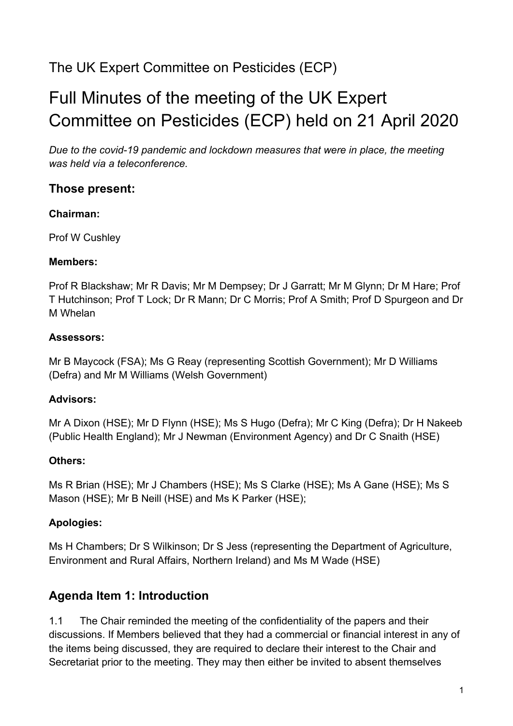# The UK Expert Committee on Pesticides (ECP)

# Full Minutes of the meeting of the UK Expert Committee on Pesticides (ECP) held on 21 April 2020

*Due to the covid-19 pandemic and lockdown measures that were in place, the meeting was held via a teleconference.* 

#### **Those present:**

#### **Chairman:**

Prof W Cushley

#### **Members:**

Prof R Blackshaw; Mr R Davis; Mr M Dempsey; Dr J Garratt; Mr M Glynn; Dr M Hare; Prof T Hutchinson; Prof T Lock; Dr R Mann; Dr C Morris; Prof A Smith; Prof D Spurgeon and Dr M Whelan

#### **Assessors:**

Mr B Maycock (FSA); Ms G Reay (representing Scottish Government); Mr D Williams (Defra) and Mr M Williams (Welsh Government)

#### **Advisors:**

Mr A Dixon (HSE); Mr D Flynn (HSE); Ms S Hugo (Defra); Mr C King (Defra); Dr H Nakeeb (Public Health England); Mr J Newman (Environment Agency) and Dr C Snaith (HSE)

#### **Others:**

Ms R Brian (HSE); Mr J Chambers (HSE); Ms S Clarke (HSE); Ms A Gane (HSE); Ms S Mason (HSE); Mr B Neill (HSE) and Ms K Parker (HSE);

#### **Apologies:**

Ms H Chambers; Dr S Wilkinson; Dr S Jess (representing the Department of Agriculture, Environment and Rural Affairs, Northern Ireland) and Ms M Wade (HSE)

### **Agenda Item 1: Introduction**

1.1 The Chair reminded the meeting of the confidentiality of the papers and their discussions. If Members believed that they had a commercial or financial interest in any of the items being discussed, they are required to declare their interest to the Chair and Secretariat prior to the meeting. They may then either be invited to absent themselves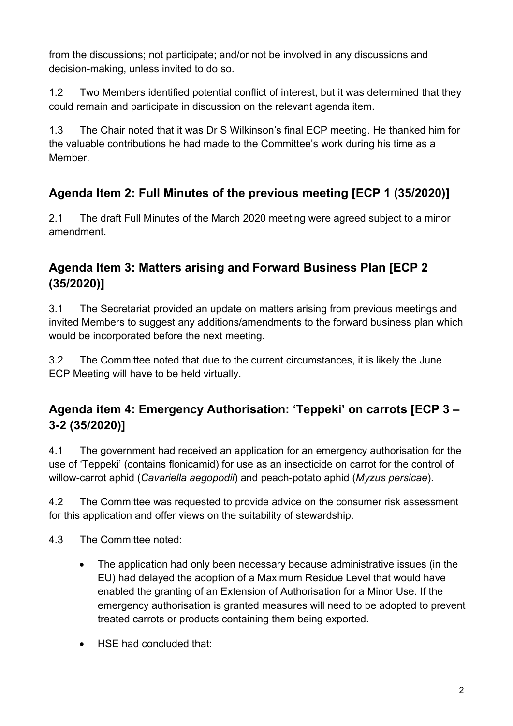from the discussions; not participate; and/or not be involved in any discussions and decision-making, unless invited to do so.

1.2 Two Members identified potential conflict of interest, but it was determined that they could remain and participate in discussion on the relevant agenda item.

1.3 The Chair noted that it was Dr S Wilkinson's final ECP meeting. He thanked him for the valuable contributions he had made to the Committee's work during his time as a Member.

# **Agenda Item 2: Full Minutes of the previous meeting [ECP 1 (35/2020)]**

2.1 The draft Full Minutes of the March 2020 meeting were agreed subject to a minor amendment.

# **Agenda Item 3: Matters arising and Forward Business Plan [ECP 2 (35/2020)]**

3.1 The Secretariat provided an update on matters arising from previous meetings and invited Members to suggest any additions/amendments to the forward business plan which would be incorporated before the next meeting.

3.2 The Committee noted that due to the current circumstances, it is likely the June ECP Meeting will have to be held virtually.

# **Agenda item 4: Emergency Authorisation: 'Teppeki' on carrots [ECP 3 – 3-2 (35/2020)]**

4.1 The government had received an application for an emergency authorisation for the use of 'Teppeki' (contains flonicamid) for use as an insecticide on carrot for the control of willow-carrot aphid (*Cavariella aegopodii*) and peach-potato aphid (*Myzus persicae*).

4.2 The Committee was requested to provide advice on the consumer risk assessment for this application and offer views on the suitability of stewardship.

4.3 The Committee noted:

- The application had only been necessary because administrative issues (in the EU) had delayed the adoption of a Maximum Residue Level that would have enabled the granting of an Extension of Authorisation for a Minor Use. If the emergency authorisation is granted measures will need to be adopted to prevent treated carrots or products containing them being exported.
- HSE had concluded that: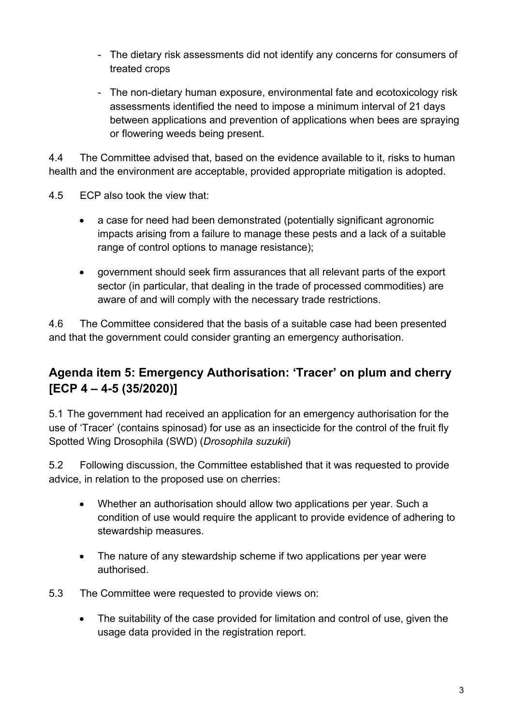- The dietary risk assessments did not identify any concerns for consumers of treated crops
- The non-dietary human exposure, environmental fate and ecotoxicology risk assessments identified the need to impose a minimum interval of 21 days between applications and prevention of applications when bees are spraying or flowering weeds being present.

4.4 The Committee advised that, based on the evidence available to it, risks to human health and the environment are acceptable, provided appropriate mitigation is adopted.

- 4.5 ECP also took the view that:
	- a case for need had been demonstrated (potentially significant agronomic impacts arising from a failure to manage these pests and a lack of a suitable range of control options to manage resistance);
	- government should seek firm assurances that all relevant parts of the export sector (in particular, that dealing in the trade of processed commodities) are aware of and will comply with the necessary trade restrictions.

4.6 The Committee considered that the basis of a suitable case had been presented and that the government could consider granting an emergency authorisation.

### **Agenda item 5: Emergency Authorisation: 'Tracer' on plum and cherry [ECP 4 – 4-5 (35/2020)]**

5.1 The government had received an application for an emergency authorisation for the use of 'Tracer' (contains spinosad) for use as an insecticide for the control of the fruit fly Spotted Wing Drosophila (SWD) (*Drosophila suzukii*)

5.2 Following discussion, the Committee established that it was requested to provide advice, in relation to the proposed use on cherries:

- Whether an authorisation should allow two applications per year. Such a condition of use would require the applicant to provide evidence of adhering to stewardship measures.
- The nature of any stewardship scheme if two applications per year were authorised.
- 5.3 The Committee were requested to provide views on:
	- The suitability of the case provided for limitation and control of use, given the usage data provided in the registration report.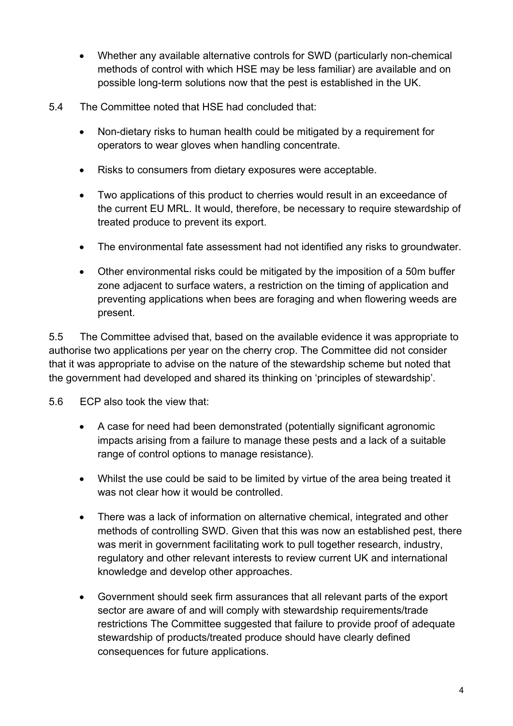- Whether any available alternative controls for SWD (particularly non-chemical methods of control with which HSE may be less familiar) are available and on possible long-term solutions now that the pest is established in the UK.
- 5.4 The Committee noted that HSE had concluded that:
	- Non-dietary risks to human health could be mitigated by a requirement for operators to wear gloves when handling concentrate.
	- Risks to consumers from dietary exposures were acceptable.
	- Two applications of this product to cherries would result in an exceedance of the current EU MRL. It would, therefore, be necessary to require stewardship of treated produce to prevent its export.
	- The environmental fate assessment had not identified any risks to groundwater.
	- Other environmental risks could be mitigated by the imposition of a 50m buffer zone adjacent to surface waters, a restriction on the timing of application and preventing applications when bees are foraging and when flowering weeds are present.

5.5 The Committee advised that, based on the available evidence it was appropriate to authorise two applications per year on the cherry crop. The Committee did not consider that it was appropriate to advise on the nature of the stewardship scheme but noted that the government had developed and shared its thinking on 'principles of stewardship'.

5.6 ECP also took the view that:

- A case for need had been demonstrated (potentially significant agronomic impacts arising from a failure to manage these pests and a lack of a suitable range of control options to manage resistance).
- Whilst the use could be said to be limited by virtue of the area being treated it was not clear how it would be controlled.
- There was a lack of information on alternative chemical, integrated and other methods of controlling SWD. Given that this was now an established pest, there was merit in government facilitating work to pull together research, industry, regulatory and other relevant interests to review current UK and international knowledge and develop other approaches.
- Government should seek firm assurances that all relevant parts of the export sector are aware of and will comply with stewardship requirements/trade restrictions The Committee suggested that failure to provide proof of adequate stewardship of products/treated produce should have clearly defined consequences for future applications.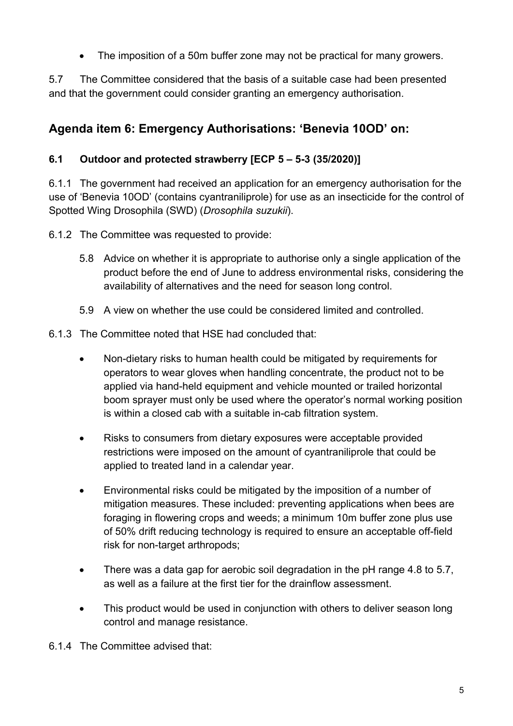The imposition of a 50m buffer zone may not be practical for many growers.

5.7 The Committee considered that the basis of a suitable case had been presented and that the government could consider granting an emergency authorisation.

### **Agenda item 6: Emergency Authorisations: 'Benevia 10OD' on:**

#### **6.1 Outdoor and protected strawberry [ECP 5 – 5-3 (35/2020)]**

6.1.1 The government had received an application for an emergency authorisation for the use of 'Benevia 10OD' (contains cyantraniliprole) for use as an insecticide for the control of Spotted Wing Drosophila (SWD) (*Drosophila suzukii*).

6.1.2 The Committee was requested to provide:

- 5.8 Advice on whether it is appropriate to authorise only a single application of the product before the end of June to address environmental risks, considering the availability of alternatives and the need for season long control.
- 5.9 A view on whether the use could be considered limited and controlled.

6.1.3 The Committee noted that HSE had concluded that:

- Non-dietary risks to human health could be mitigated by requirements for operators to wear gloves when handling concentrate, the product not to be applied via hand-held equipment and vehicle mounted or trailed horizontal boom sprayer must only be used where the operator's normal working position is within a closed cab with a suitable in-cab filtration system.
- Risks to consumers from dietary exposures were acceptable provided restrictions were imposed on the amount of cyantraniliprole that could be applied to treated land in a calendar year.
- Environmental risks could be mitigated by the imposition of a number of mitigation measures. These included: preventing applications when bees are foraging in flowering crops and weeds; a minimum 10m buffer zone plus use of 50% drift reducing technology is required to ensure an acceptable off-field risk for non-target arthropods;
- There was a data gap for aerobic soil degradation in the pH range 4.8 to 5.7, as well as a failure at the first tier for the drainflow assessment.
- This product would be used in conjunction with others to deliver season long control and manage resistance.

6.1.4 The Committee advised that: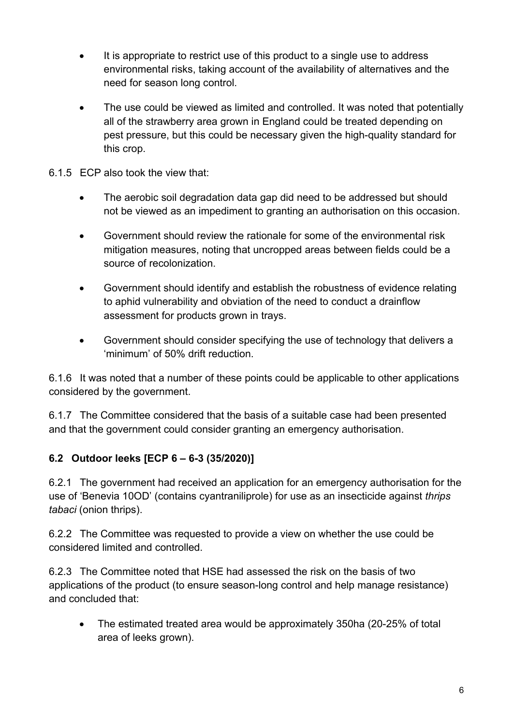- It is appropriate to restrict use of this product to a single use to address environmental risks, taking account of the availability of alternatives and the need for season long control.
- The use could be viewed as limited and controlled. It was noted that potentially all of the strawberry area grown in England could be treated depending on pest pressure, but this could be necessary given the high-quality standard for this crop.
- 6.1.5 ECP also took the view that:
	- The aerobic soil degradation data gap did need to be addressed but should not be viewed as an impediment to granting an authorisation on this occasion.
	- Government should review the rationale for some of the environmental risk mitigation measures, noting that uncropped areas between fields could be a source of recolonization.
	- Government should identify and establish the robustness of evidence relating to aphid vulnerability and obviation of the need to conduct a drainflow assessment for products grown in trays.
	- Government should consider specifying the use of technology that delivers a 'minimum' of 50% drift reduction.

6.1.6 It was noted that a number of these points could be applicable to other applications considered by the government.

6.1.7 The Committee considered that the basis of a suitable case had been presented and that the government could consider granting an emergency authorisation.

#### **6.2 Outdoor leeks [ECP 6 – 6-3 (35/2020)]**

6.2.1 The government had received an application for an emergency authorisation for the use of 'Benevia 10OD' (contains cyantraniliprole) for use as an insecticide against *thrips tabaci* (onion thrips).

6.2.2 The Committee was requested to provide a view on whether the use could be considered limited and controlled.

6.2.3 The Committee noted that HSE had assessed the risk on the basis of two applications of the product (to ensure season-long control and help manage resistance) and concluded that:

• The estimated treated area would be approximately 350ha (20-25% of total area of leeks grown).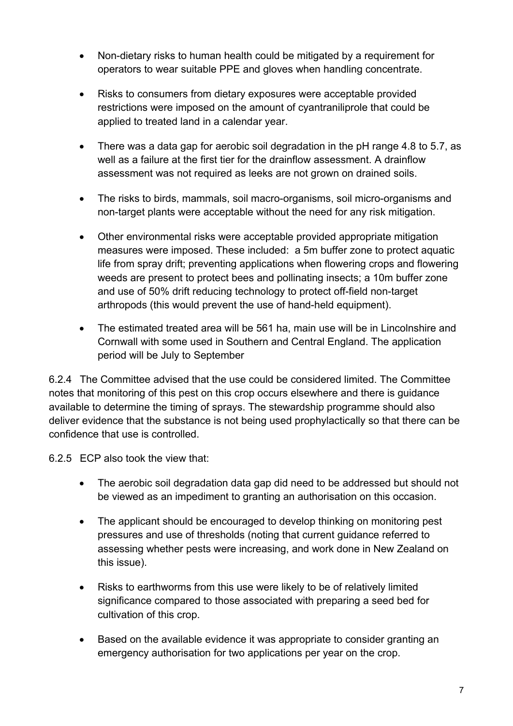- Non-dietary risks to human health could be mitigated by a requirement for operators to wear suitable PPE and gloves when handling concentrate.
- Risks to consumers from dietary exposures were acceptable provided restrictions were imposed on the amount of cyantraniliprole that could be applied to treated land in a calendar year.
- There was a data gap for aerobic soil degradation in the pH range 4.8 to 5.7, as well as a failure at the first tier for the drainflow assessment. A drainflow assessment was not required as leeks are not grown on drained soils.
- The risks to birds, mammals, soil macro-organisms, soil micro-organisms and non-target plants were acceptable without the need for any risk mitigation.
- Other environmental risks were acceptable provided appropriate mitigation measures were imposed. These included: a 5m buffer zone to protect aquatic life from spray drift; preventing applications when flowering crops and flowering weeds are present to protect bees and pollinating insects; a 10m buffer zone and use of 50% drift reducing technology to protect off-field non-target arthropods (this would prevent the use of hand-held equipment).
- The estimated treated area will be 561 ha, main use will be in Lincolnshire and Cornwall with some used in Southern and Central England. The application period will be July to September

6.2.4 The Committee advised that the use could be considered limited. The Committee notes that monitoring of this pest on this crop occurs elsewhere and there is guidance available to determine the timing of sprays. The stewardship programme should also deliver evidence that the substance is not being used prophylactically so that there can be confidence that use is controlled.

6.2.5 ECP also took the view that:

- The aerobic soil degradation data gap did need to be addressed but should not be viewed as an impediment to granting an authorisation on this occasion.
- The applicant should be encouraged to develop thinking on monitoring pest pressures and use of thresholds (noting that current guidance referred to assessing whether pests were increasing, and work done in New Zealand on this issue).
- Risks to earthworms from this use were likely to be of relatively limited significance compared to those associated with preparing a seed bed for cultivation of this crop.
- Based on the available evidence it was appropriate to consider granting an emergency authorisation for two applications per year on the crop.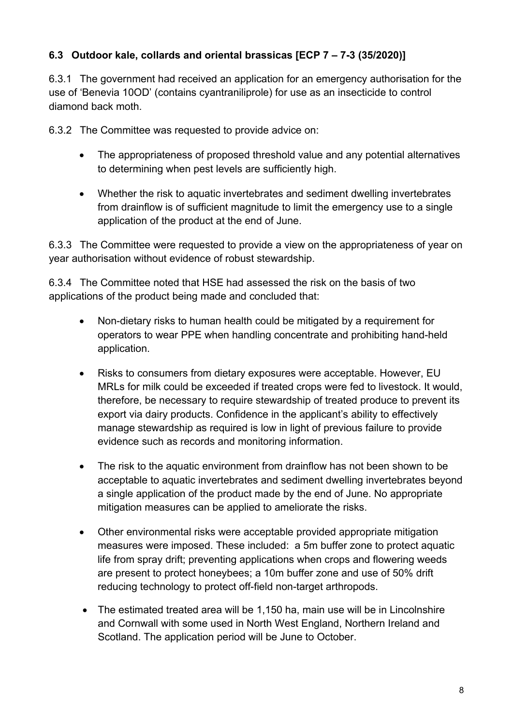#### **6.3 Outdoor kale, collards and oriental brassicas [ECP 7 – 7-3 (35/2020)]**

6.3.1 The government had received an application for an emergency authorisation for the use of 'Benevia 10OD' (contains cyantraniliprole) for use as an insecticide to control diamond back moth.

6.3.2 The Committee was requested to provide advice on:

- The appropriateness of proposed threshold value and any potential alternatives to determining when pest levels are sufficiently high.
- Whether the risk to aquatic invertebrates and sediment dwelling invertebrates from drainflow is of sufficient magnitude to limit the emergency use to a single application of the product at the end of June.

6.3.3 The Committee were requested to provide a view on the appropriateness of year on year authorisation without evidence of robust stewardship.

6.3.4 The Committee noted that HSE had assessed the risk on the basis of two applications of the product being made and concluded that:

- Non-dietary risks to human health could be mitigated by a requirement for operators to wear PPE when handling concentrate and prohibiting hand-held application.
- Risks to consumers from dietary exposures were acceptable. However, EU MRLs for milk could be exceeded if treated crops were fed to livestock. It would, therefore, be necessary to require stewardship of treated produce to prevent its export via dairy products. Confidence in the applicant's ability to effectively manage stewardship as required is low in light of previous failure to provide evidence such as records and monitoring information.
- The risk to the aquatic environment from drainflow has not been shown to be acceptable to aquatic invertebrates and sediment dwelling invertebrates beyond a single application of the product made by the end of June. No appropriate mitigation measures can be applied to ameliorate the risks.
- Other environmental risks were acceptable provided appropriate mitigation measures were imposed. These included: a 5m buffer zone to protect aquatic life from spray drift; preventing applications when crops and flowering weeds are present to protect honeybees; a 10m buffer zone and use of 50% drift reducing technology to protect off-field non-target arthropods.
- The estimated treated area will be 1,150 ha, main use will be in Lincolnshire and Cornwall with some used in North West England, Northern Ireland and Scotland. The application period will be June to October.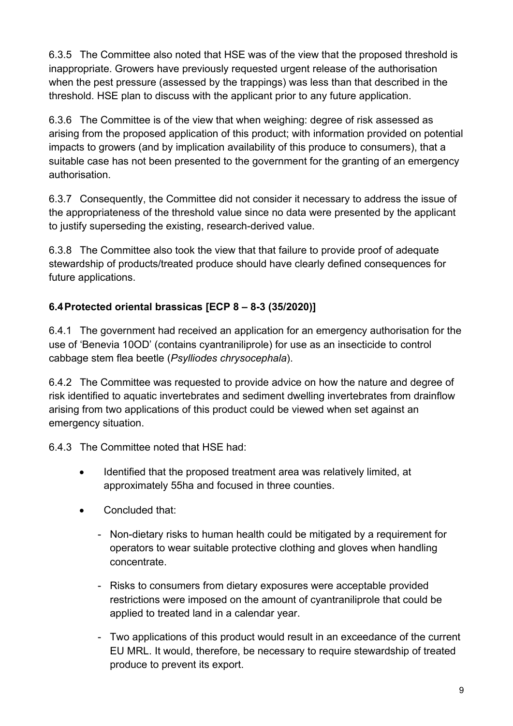6.3.5 The Committee also noted that HSE was of the view that the proposed threshold is inappropriate. Growers have previously requested urgent release of the authorisation when the pest pressure (assessed by the trappings) was less than that described in the threshold. HSE plan to discuss with the applicant prior to any future application.

6.3.6 The Committee is of the view that when weighing: degree of risk assessed as arising from the proposed application of this product; with information provided on potential impacts to growers (and by implication availability of this produce to consumers), that a suitable case has not been presented to the government for the granting of an emergency authorisation.

6.3.7 Consequently, the Committee did not consider it necessary to address the issue of the appropriateness of the threshold value since no data were presented by the applicant to justify superseding the existing, research-derived value.

6.3.8 The Committee also took the view that that failure to provide proof of adequate stewardship of products/treated produce should have clearly defined consequences for future applications.

### **6.4Protected oriental brassicas [ECP 8 – 8-3 (35/2020)]**

6.4.1 The government had received an application for an emergency authorisation for the use of 'Benevia 10OD' (contains cyantraniliprole) for use as an insecticide to control cabbage stem flea beetle (*Psylliodes chrysocephala*).

6.4.2 The Committee was requested to provide advice on how the nature and degree of risk identified to aquatic invertebrates and sediment dwelling invertebrates from drainflow arising from two applications of this product could be viewed when set against an emergency situation.

6.4.3 The Committee noted that HSE had:

- Identified that the proposed treatment area was relatively limited, at approximately 55ha and focused in three counties.
- Concluded that:
	- Non-dietary risks to human health could be mitigated by a requirement for operators to wear suitable protective clothing and gloves when handling concentrate.
	- Risks to consumers from dietary exposures were acceptable provided restrictions were imposed on the amount of cyantraniliprole that could be applied to treated land in a calendar year.
	- Two applications of this product would result in an exceedance of the current EU MRL. It would, therefore, be necessary to require stewardship of treated produce to prevent its export.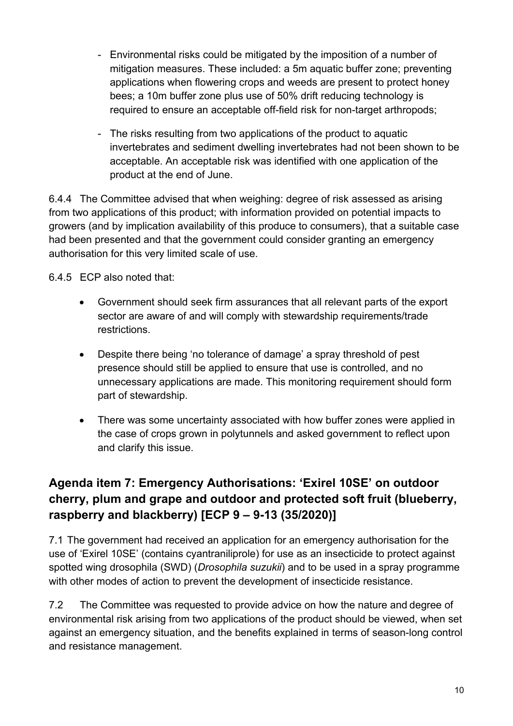- Environmental risks could be mitigated by the imposition of a number of mitigation measures. These included: a 5m aquatic buffer zone; preventing applications when flowering crops and weeds are present to protect honey bees; a 10m buffer zone plus use of 50% drift reducing technology is required to ensure an acceptable off-field risk for non-target arthropods;
- The risks resulting from two applications of the product to aquatic invertebrates and sediment dwelling invertebrates had not been shown to be acceptable. An acceptable risk was identified with one application of the product at the end of June.

6.4.4 The Committee advised that when weighing: degree of risk assessed as arising from two applications of this product; with information provided on potential impacts to growers (and by implication availability of this produce to consumers), that a suitable case had been presented and that the government could consider granting an emergency authorisation for this very limited scale of use.

6.4.5 ECP also noted that:

- Government should seek firm assurances that all relevant parts of the export sector are aware of and will comply with stewardship requirements/trade restrictions.
- Despite there being 'no tolerance of damage' a spray threshold of pest presence should still be applied to ensure that use is controlled, and no unnecessary applications are made. This monitoring requirement should form part of stewardship.
- There was some uncertainty associated with how buffer zones were applied in the case of crops grown in polytunnels and asked government to reflect upon and clarify this issue.

# **Agenda item 7: Emergency Authorisations: 'Exirel 10SE' on outdoor cherry, plum and grape and outdoor and protected soft fruit (blueberry, raspberry and blackberry) [ECP 9 – 9-13 (35/2020)]**

7.1 The government had received an application for an emergency authorisation for the use of 'Exirel 10SE' (contains cyantraniliprole) for use as an insecticide to protect against spotted wing drosophila (SWD) (*Drosophila suzukii*) and to be used in a spray programme with other modes of action to prevent the development of insecticide resistance.

7.2 The Committee was requested to provide advice on how the nature and degree of environmental risk arising from two applications of the product should be viewed, when set against an emergency situation, and the benefits explained in terms of season-long control and resistance management.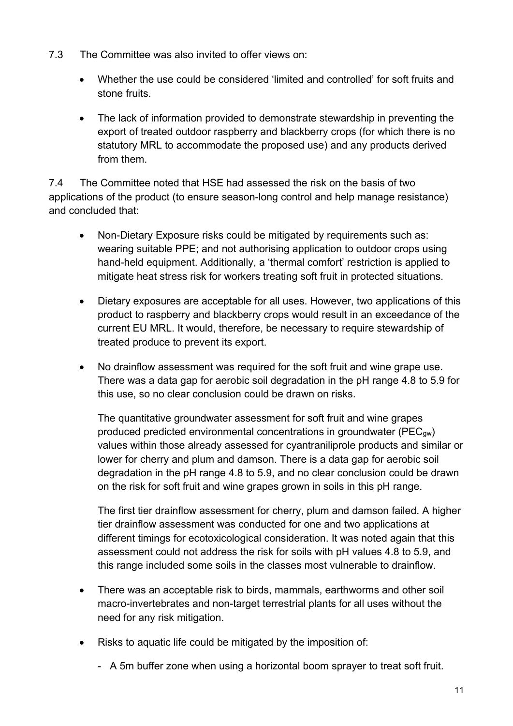- 7.3 The Committee was also invited to offer views on:
	- Whether the use could be considered 'limited and controlled' for soft fruits and stone fruits.
	- The lack of information provided to demonstrate stewardship in preventing the export of treated outdoor raspberry and blackberry crops (for which there is no statutory MRL to accommodate the proposed use) and any products derived from them.

7.4 The Committee noted that HSE had assessed the risk on the basis of two applications of the product (to ensure season-long control and help manage resistance) and concluded that:

- Non-Dietary Exposure risks could be mitigated by requirements such as: wearing suitable PPE; and not authorising application to outdoor crops using hand-held equipment. Additionally, a 'thermal comfort' restriction is applied to mitigate heat stress risk for workers treating soft fruit in protected situations.
- Dietary exposures are acceptable for all uses. However, two applications of this product to raspberry and blackberry crops would result in an exceedance of the current EU MRL. It would, therefore, be necessary to require stewardship of treated produce to prevent its export.
- No drainflow assessment was required for the soft fruit and wine grape use. There was a data gap for aerobic soil degradation in the pH range 4.8 to 5.9 for this use, so no clear conclusion could be drawn on risks.

The quantitative groundwater assessment for soft fruit and wine grapes produced predicted environmental concentrations in groundwater (PEC<sub>aw</sub>) values within those already assessed for cyantraniliprole products and similar or lower for cherry and plum and damson. There is a data gap for aerobic soil degradation in the pH range 4.8 to 5.9, and no clear conclusion could be drawn on the risk for soft fruit and wine grapes grown in soils in this pH range.

The first tier drainflow assessment for cherry, plum and damson failed. A higher tier drainflow assessment was conducted for one and two applications at different timings for ecotoxicological consideration. It was noted again that this assessment could not address the risk for soils with pH values 4.8 to 5.9, and this range included some soils in the classes most vulnerable to drainflow.

- There was an acceptable risk to birds, mammals, earthworms and other soil macro-invertebrates and non-target terrestrial plants for all uses without the need for any risk mitigation.
- Risks to aquatic life could be mitigated by the imposition of:
	- A 5m buffer zone when using a horizontal boom sprayer to treat soft fruit.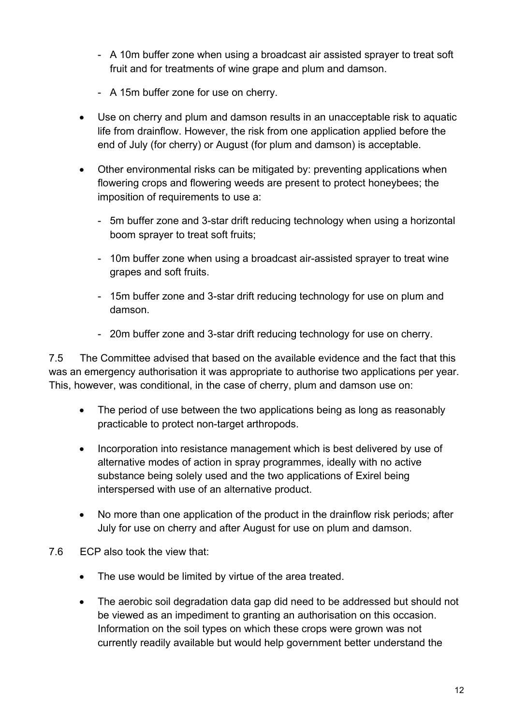- A 10m buffer zone when using a broadcast air assisted sprayer to treat soft fruit and for treatments of wine grape and plum and damson.
- A 15m buffer zone for use on cherry.
- Use on cherry and plum and damson results in an unacceptable risk to aquatic life from drainflow. However, the risk from one application applied before the end of July (for cherry) or August (for plum and damson) is acceptable.
- Other environmental risks can be mitigated by: preventing applications when flowering crops and flowering weeds are present to protect honeybees; the imposition of requirements to use a:
	- 5m buffer zone and 3-star drift reducing technology when using a horizontal boom sprayer to treat soft fruits;
	- 10m buffer zone when using a broadcast air-assisted sprayer to treat wine grapes and soft fruits.
	- 15m buffer zone and 3-star drift reducing technology for use on plum and damson.
	- 20m buffer zone and 3-star drift reducing technology for use on cherry.

7.5 The Committee advised that based on the available evidence and the fact that this was an emergency authorisation it was appropriate to authorise two applications per year. This, however, was conditional, in the case of cherry, plum and damson use on:

- The period of use between the two applications being as long as reasonably practicable to protect non-target arthropods.
- Incorporation into resistance management which is best delivered by use of alternative modes of action in spray programmes, ideally with no active substance being solely used and the two applications of Exirel being interspersed with use of an alternative product.
- No more than one application of the product in the drainflow risk periods; after July for use on cherry and after August for use on plum and damson.
- 7.6 ECP also took the view that:
	- The use would be limited by virtue of the area treated.
	- The aerobic soil degradation data gap did need to be addressed but should not be viewed as an impediment to granting an authorisation on this occasion. Information on the soil types on which these crops were grown was not currently readily available but would help government better understand the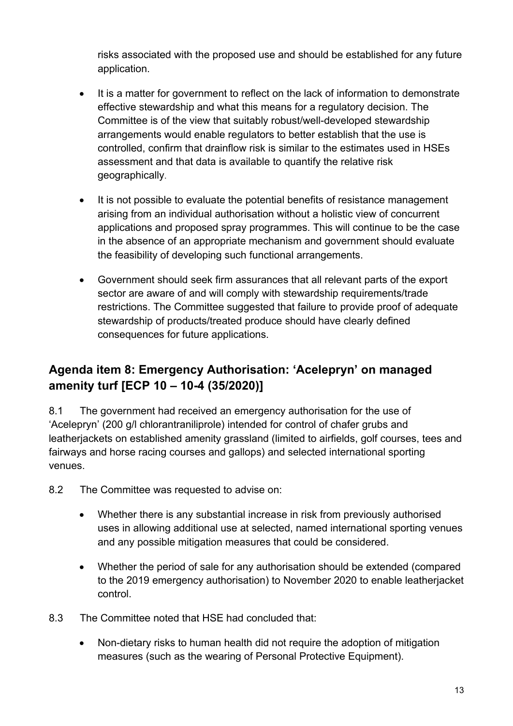risks associated with the proposed use and should be established for any future application.

- It is a matter for government to reflect on the lack of information to demonstrate effective stewardship and what this means for a regulatory decision. The Committee is of the view that suitably robust/well-developed stewardship arrangements would enable regulators to better establish that the use is controlled, confirm that drainflow risk is similar to the estimates used in HSEs assessment and that data is available to quantify the relative risk geographically.
- It is not possible to evaluate the potential benefits of resistance management arising from an individual authorisation without a holistic view of concurrent applications and proposed spray programmes. This will continue to be the case in the absence of an appropriate mechanism and government should evaluate the feasibility of developing such functional arrangements.
- Government should seek firm assurances that all relevant parts of the export sector are aware of and will comply with stewardship requirements/trade restrictions. The Committee suggested that failure to provide proof of adequate stewardship of products/treated produce should have clearly defined consequences for future applications.

# **Agenda item 8: Emergency Authorisation: 'Acelepryn' on managed amenity turf [ECP 10 – 10-4 (35/2020)]**

8.1 The government had received an emergency authorisation for the use of 'Acelepryn' (200 g/l chlorantraniliprole) intended for control of chafer grubs and leatherjackets on established amenity grassland (limited to airfields, golf courses, tees and fairways and horse racing courses and gallops) and selected international sporting venues.

- 8.2 The Committee was requested to advise on:
	- Whether there is any substantial increase in risk from previously authorised uses in allowing additional use at selected, named international sporting venues and any possible mitigation measures that could be considered.
	- Whether the period of sale for any authorisation should be extended (compared to the 2019 emergency authorisation) to November 2020 to enable leatherjacket control.
- 8.3 The Committee noted that HSE had concluded that:
	- Non-dietary risks to human health did not require the adoption of mitigation measures (such as the wearing of Personal Protective Equipment).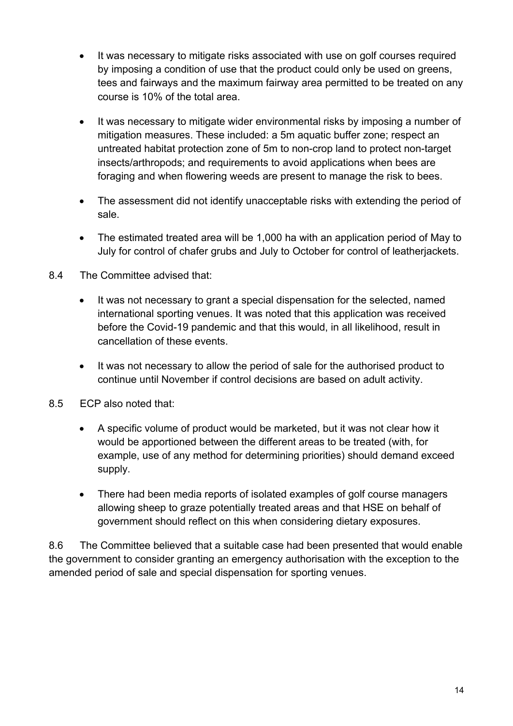- It was necessary to mitigate risks associated with use on golf courses required by imposing a condition of use that the product could only be used on greens, tees and fairways and the maximum fairway area permitted to be treated on any course is 10% of the total area.
- It was necessary to mitigate wider environmental risks by imposing a number of mitigation measures. These included: a 5m aquatic buffer zone; respect an untreated habitat protection zone of 5m to non-crop land to protect non-target insects/arthropods; and requirements to avoid applications when bees are foraging and when flowering weeds are present to manage the risk to bees.
- The assessment did not identify unacceptable risks with extending the period of sale.
- The estimated treated area will be 1,000 ha with an application period of May to July for control of chafer grubs and July to October for control of leatherjackets.
- 8.4 The Committee advised that:
	- It was not necessary to grant a special dispensation for the selected, named international sporting venues. It was noted that this application was received before the Covid-19 pandemic and that this would, in all likelihood, result in cancellation of these events.
	- It was not necessary to allow the period of sale for the authorised product to continue until November if control decisions are based on adult activity.
- 8.5 ECP also noted that:
	- A specific volume of product would be marketed, but it was not clear how it would be apportioned between the different areas to be treated (with, for example, use of any method for determining priorities) should demand exceed supply.
	- There had been media reports of isolated examples of golf course managers allowing sheep to graze potentially treated areas and that HSE on behalf of government should reflect on this when considering dietary exposures.

8.6 The Committee believed that a suitable case had been presented that would enable the government to consider granting an emergency authorisation with the exception to the amended period of sale and special dispensation for sporting venues.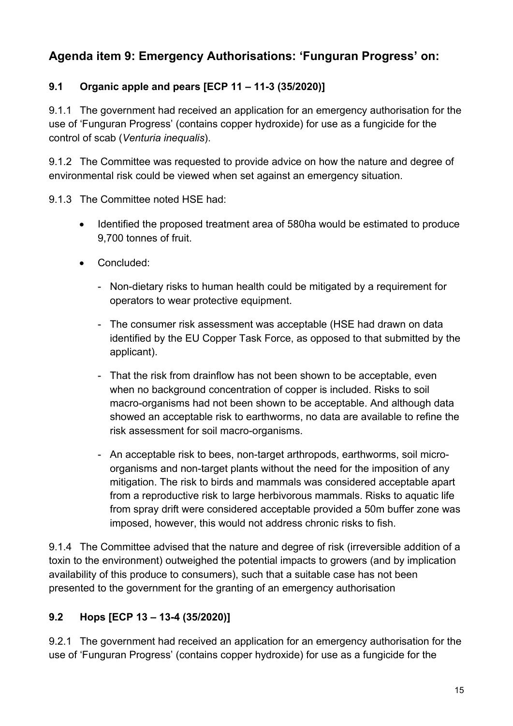# **Agenda item 9: Emergency Authorisations: 'Funguran Progress' on:**

### **9.1 Organic apple and pears [ECP 11 – 11-3 (35/2020)]**

9.1.1 The government had received an application for an emergency authorisation for the use of 'Funguran Progress' (contains copper hydroxide) for use as a fungicide for the control of scab (*Venturia inequalis*).

9.1.2 The Committee was requested to provide advice on how the nature and degree of environmental risk could be viewed when set against an emergency situation.

9.1.3 The Committee noted HSE had:

- Identified the proposed treatment area of 580ha would be estimated to produce 9,700 tonnes of fruit.
- Concluded:
	- Non-dietary risks to human health could be mitigated by a requirement for operators to wear protective equipment.
	- The consumer risk assessment was acceptable (HSE had drawn on data identified by the EU Copper Task Force, as opposed to that submitted by the applicant).
	- That the risk from drainflow has not been shown to be acceptable, even when no background concentration of copper is included. Risks to soil macro-organisms had not been shown to be acceptable. And although data showed an acceptable risk to earthworms, no data are available to refine the risk assessment for soil macro-organisms.
	- An acceptable risk to bees, non-target arthropods, earthworms, soil microorganisms and non-target plants without the need for the imposition of any mitigation. The risk to birds and mammals was considered acceptable apart from a reproductive risk to large herbivorous mammals. Risks to aquatic life from spray drift were considered acceptable provided a 50m buffer zone was imposed, however, this would not address chronic risks to fish.

9.1.4 The Committee advised that the nature and degree of risk (irreversible addition of a toxin to the environment) outweighed the potential impacts to growers (and by implication availability of this produce to consumers), such that a suitable case has not been presented to the government for the granting of an emergency authorisation

### **9.2 Hops [ECP 13 – 13-4 (35/2020)]**

9.2.1 The government had received an application for an emergency authorisation for the use of 'Funguran Progress' (contains copper hydroxide) for use as a fungicide for the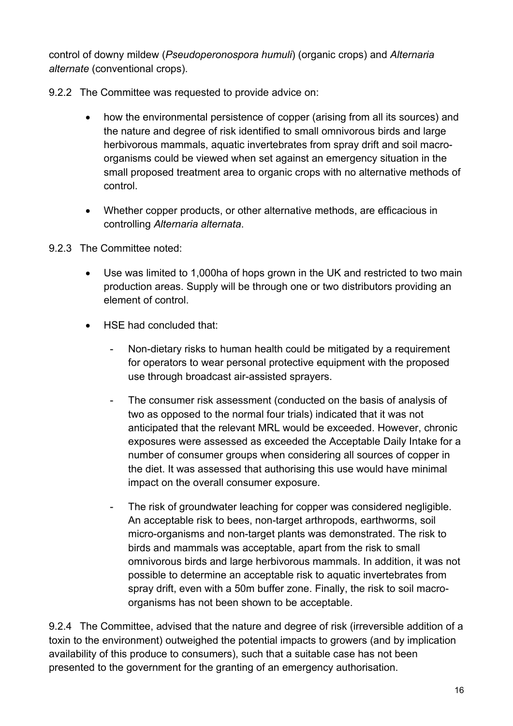control of downy mildew (*Pseudoperonospora humuli*) (organic crops) and *Alternaria alternate* (conventional crops).

- 9.2.2 The Committee was requested to provide advice on:
	- how the environmental persistence of copper (arising from all its sources) and the nature and degree of risk identified to small omnivorous birds and large herbivorous mammals, aquatic invertebrates from spray drift and soil macroorganisms could be viewed when set against an emergency situation in the small proposed treatment area to organic crops with no alternative methods of control.
	- Whether copper products, or other alternative methods, are efficacious in controlling *Alternaria alternata*.
- 9.2.3 The Committee noted:
	- Use was limited to 1,000ha of hops grown in the UK and restricted to two main production areas. Supply will be through one or two distributors providing an element of control.
	- HSE had concluded that:
		- Non-dietary risks to human health could be mitigated by a requirement for operators to wear personal protective equipment with the proposed use through broadcast air-assisted sprayers.
		- The consumer risk assessment (conducted on the basis of analysis of two as opposed to the normal four trials) indicated that it was not anticipated that the relevant MRL would be exceeded. However, chronic exposures were assessed as exceeded the Acceptable Daily Intake for a number of consumer groups when considering all sources of copper in the diet. It was assessed that authorising this use would have minimal impact on the overall consumer exposure.
		- The risk of groundwater leaching for copper was considered negligible. An acceptable risk to bees, non-target arthropods, earthworms, soil micro-organisms and non-target plants was demonstrated. The risk to birds and mammals was acceptable, apart from the risk to small omnivorous birds and large herbivorous mammals. In addition, it was not possible to determine an acceptable risk to aquatic invertebrates from spray drift, even with a 50m buffer zone. Finally, the risk to soil macroorganisms has not been shown to be acceptable.

9.2.4 The Committee, advised that the nature and degree of risk (irreversible addition of a toxin to the environment) outweighed the potential impacts to growers (and by implication availability of this produce to consumers), such that a suitable case has not been presented to the government for the granting of an emergency authorisation.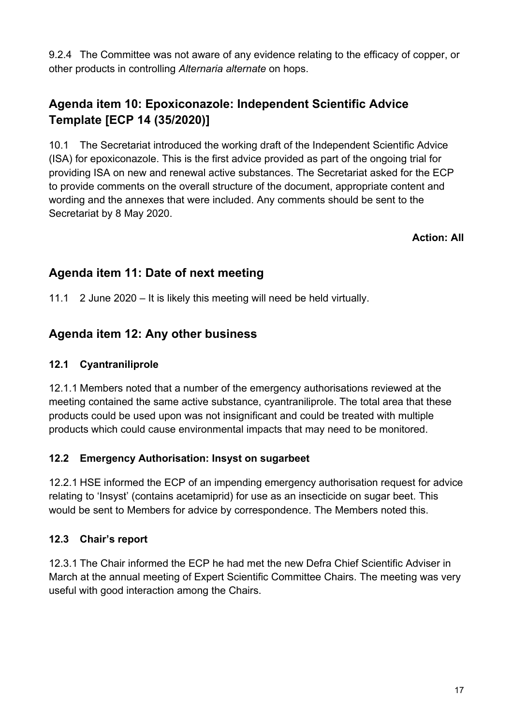9.2.4 The Committee was not aware of any evidence relating to the efficacy of copper, or other products in controlling *Alternaria alternate* on hops.

# **Agenda item 10: Epoxiconazole: Independent Scientific Advice Template [ECP 14 (35/2020)]**

10.1 The Secretariat introduced the working draft of the Independent Scientific Advice (ISA) for epoxiconazole. This is the first advice provided as part of the ongoing trial for providing ISA on new and renewal active substances. The Secretariat asked for the ECP to provide comments on the overall structure of the document, appropriate content and wording and the annexes that were included. Any comments should be sent to the Secretariat by 8 May 2020.

**Action: All**

### **Agenda item 11: Date of next meeting**

11.1 2 June 2020 – It is likely this meeting will need be held virtually.

### **Agenda item 12: Any other business**

#### **12.1 Cyantraniliprole**

12.1.1 Members noted that a number of the emergency authorisations reviewed at the meeting contained the same active substance, cyantraniliprole. The total area that these products could be used upon was not insignificant and could be treated with multiple products which could cause environmental impacts that may need to be monitored.

#### **12.2 Emergency Authorisation: Insyst on sugarbeet**

12.2.1 HSE informed the ECP of an impending emergency authorisation request for advice relating to 'Insyst' (contains acetamiprid) for use as an insecticide on sugar beet. This would be sent to Members for advice by correspondence. The Members noted this.

#### **12.3 Chair's report**

12.3.1 The Chair informed the ECP he had met the new Defra Chief Scientific Adviser in March at the annual meeting of Expert Scientific Committee Chairs. The meeting was very useful with good interaction among the Chairs.